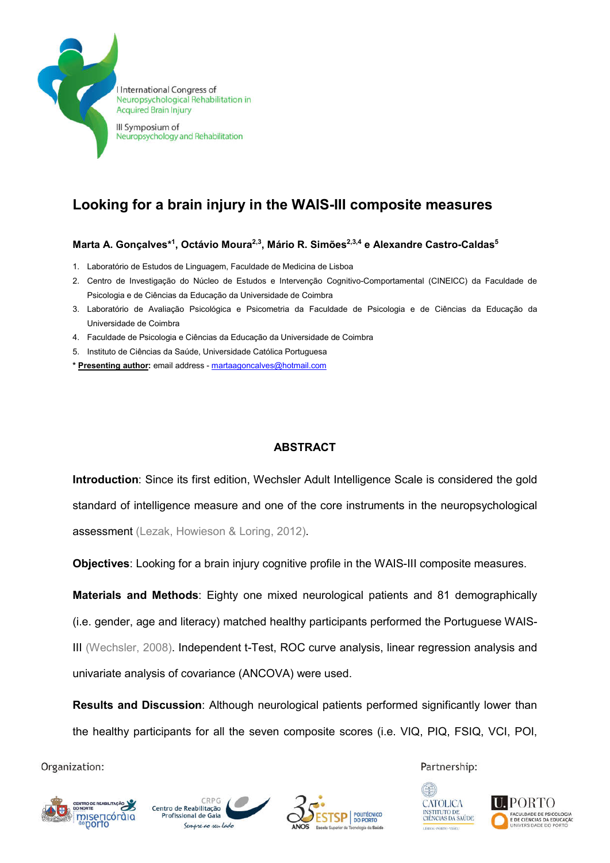

**I** International Congress of Neuropsychological Rehabilitation in **Acquired Brain Injury** 

III Symposium of Neuropsychology and Rehabilitation

# Looking for a brain injury in the WAIS-III composite measures

## Marta A. Gonçalves\*1, Octávio Moura<sup>2,3</sup>, Mário R. Simões<sup>2,3,4</sup> e Alexandre Castro-Caldas<sup>5</sup>

- 1. Laboratório de Estudos de Linguagem, Faculdade de Medicina de Lisboa
- 2. Centro de Investigação do Núcleo de Estudos e Intervenção Cognitivo-Comportamental (CINEICC) da Faculdade de Psicologia e de Ciências da Educação da Universidade de Coimbra
- 3. Laboratório de Avaliação Psicológica e Psicometria da Faculdade de Psicologia e de Ciências da Educação da Universidade de Coimbra
- 4. Faculdade de Psicologia e Ciências da Educação da Universidade de Coimbra
- 5. Instituto de Ciências da Saúde, Universidade Católica Portuguesa
- \* Presenting author: email address martaagoncalves@hotmail.com

## **ABSTRACT**

Introduction: Since its first edition, Wechsler Adult Intelligence Scale is considered the gold standard of intelligence measure and one of the core instruments in the neuropsychological assessment (Lezak, Howieson & Loring, 2012).

Objectives: Looking for a brain injury cognitive profile in the WAIS-III composite measures.

Materials and Methods: Eighty one mixed neurological patients and 81 demographically (i.e. gender, age and literacy) matched healthy participants performed the Portuguese WAIS-III (Wechsler, 2008). Independent t-Test, ROC curve analysis, linear regression analysis and univariate analysis of covariance (ANCOVA) were used.

Results and Discussion: Although neurological patients performed significantly lower than the healthy participants for all the seven composite scores (i.e. VIQ, PIQ, FSIQ, VCI, POI,

Organization:







Partnership: